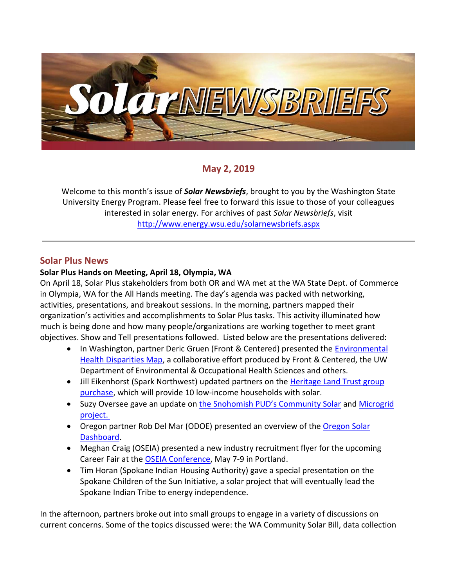

# **May 2, 2019**

Welcome to this month's issue of *Solar Newsbriefs*, brought to you by the Washington State University Energy Program. Please feel free to forward this issue to those of your colleagues interested in solar energy. For archives of past *Solar Newsbriefs*, visit <http://www.energy.wsu.edu/solarnewsbriefs.aspx>

### **Solar Plus News**

### **Solar Plus Hands on Meeting, April 18, Olympia, WA**

On April 18, Solar Plus stakeholders from both OR and WA met at the WA State Dept. of Commerce in Olympia, WA for the All Hands meeting. The day's agenda was packed with networking, activities, presentations, and breakout sessions. In the morning, partners mapped their organization's activities and accomplishments to Solar Plus tasks. This activity illuminated how much is being done and how many people/organizations are working together to meet grant objectives. Show and Tell presentations followed. Listed below are the presentations delivered:

- In Washington, partner Deric Gruen (Front & Centered) presented the Environmental [Health Disparities Map,](https://www.doh.wa.gov/DataandStatisticalReports/EnvironmentalHealth/WashingtonTrackingNetworkWTN/InformationbyLocation/WashingtonEnvironmentalHealthDisparitiesMap) a collaborative effort produced by Front & Centered, the UW Department of Environmental & Occupational Health Sciences and others.
- Jill Eikenhorst (Spark Northwest) updated partners on the Heritage Land Trust group [purchase,](http://www.homesteadclt.org/homeowner-resources/solarize-the-land-trust) which will provide 10 low-income households with solar.
- Suzy Oversee gave an update on [the Snohomish PUD's Community Solar](https://www.snopud.com/home/green/CommunitySolar.ashx?p=3564) and Microgrid [project.](https://www.snopud.com/PowerSupply/ar-microgrid.ashx?p=3326)
- • [Oregon](https://www.oregon.gov/energy/energy-oregon/Pages/Oregon-Solar-Dashboard.aspx) partner Rob Del Mar (ODOE) presented an overview of the Oregon Solar [Dashboard.](https://www.oregon.gov/energy/energy-oregon/Pages/Oregon-Solar-Dashboard.aspx)
- Meghan Craig (OSEIA) presented a new industry recruitment flyer for the upcoming Career Fair at the [OSEIA Conference,](http://oregonsolarenergyconference.com/) May 7-9 in Portland.
- Tim Horan (Spokane Indian Housing Authority) gave a special presentation on the Spokane Children of the Sun Initiative, a solar project that will eventually lead the Spokane Indian Tribe to energy independence.

In the afternoon, partners broke out into small groups to engage in a variety of discussions on current concerns. Some of the topics discussed were: the WA Community Solar Bill, data collection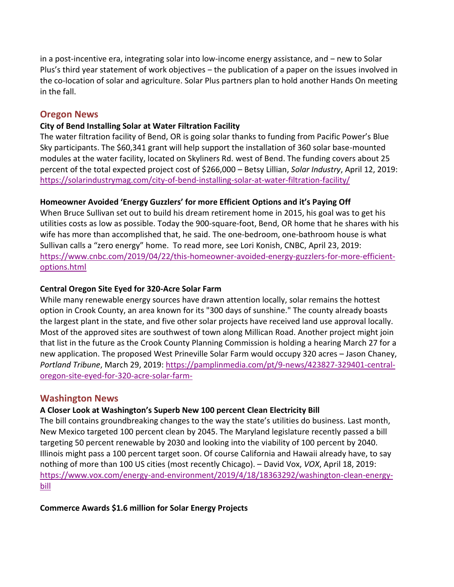in a post-incentive era, integrating solar into low-income energy assistance, and – new to Solar Plus's third year statement of work objectives – the publication of a paper on the issues involved in the co-location of solar and agriculture. Solar Plus partners plan to hold another Hands On meeting in the fall.

### **Oregon News**

#### **City of Bend Installing Solar at Water Filtration Facility**

The water filtration facility of Bend, OR is going solar thanks to funding from Pacific Power's Blue Sky participants. The \$60,341 grant will help support the installation of 360 solar base-mounted modules at the water facility, located on Skyliners Rd. west of Bend. The funding covers about 25 percent of the total expected project cost of \$266,000 – Betsy Lillian, *Solar Industry*, April 12, 2019: <https://solarindustrymag.com/city-of-bend-installing-solar-at-water-filtration-facility/>

### **Homeowner Avoided 'Energy Guzzlers' for more Efficient Options and it's Paying Off**

When Bruce Sullivan set out to build his dream retirement home in 2015, his goal was to get his utilities costs as low as possible. Today the 900-square-foot, Bend, OR home that he shares with his wife has more than accomplished that, he said. The one-bedroom, one-bathroom house is what Sullivan calls a "zero energy" home. To read more, see Lori Konish, CNBC, April 23, 2019: [https://www.cnbc.com/2019/04/22/this-homeowner-avoided-energy-guzzlers-for-more-efficient](https://www.cnbc.com/2019/04/22/this-homeowner-avoided-energy-guzzlers-for-more-efficient-options.html)[options.html](https://www.cnbc.com/2019/04/22/this-homeowner-avoided-energy-guzzlers-for-more-efficient-options.html)

#### **Central Oregon Site Eyed for 320-Acre Solar Farm**

While many renewable energy sources have drawn attention locally, solar remains the hottest option in Crook County, an area known for its "300 days of sunshine." The county already boasts the largest plant in the state, and five other solar projects have received land use approval locally. Most of the approved sites are southwest of town along Millican Road. Another project might join that list in the future as the Crook County Planning Commission is holding a hearing March 27 for a new application. The proposed West Prineville Solar Farm would occupy 320 acres – Jason Chaney, *Portland Tribune*, March 29, 2019: [https://pamplinmedia.com/pt/9-news/423827-329401-central](https://pamplinmedia.com/pt/9-news/423827-329401-central-oregon-site-eyed-for-320-acre-solar-farm-)[oregon-site-eyed-for-320-acre-solar-farm-](https://pamplinmedia.com/pt/9-news/423827-329401-central-oregon-site-eyed-for-320-acre-solar-farm-)

### **Washington News**

### **A Closer Look at Washington's Superb New 100 percent Clean Electricity Bill**

The bill contains groundbreaking changes to the way the state's utilities do business. Last month, New Mexico targeted 100 percent clean by 2045. The Maryland legislature recently passed a bill targeting 50 percent renewable by 2030 and looking into the viability of 100 percent by 2040. Illinois [might pass a 100 percent target soon.](https://www.utilitydive.com/news/business-enviro-groups-see-strong-prospects-for-illinois-100-clean-energy/549482/) Of course [California](https://www.vox.com/energy-and-environment/2018/8/31/17799094/california-100-percent-clean-energy-target-brown-de-leon) and [Hawaii](https://www.scientificamerican.com/article/as-hawaii-aims-for-100-renewable-energy-other-states-watching-closely/) already have, to say nothing of [more than 100 US cities](https://www.sierraclub.org/ready-for-100/commitments) (most recently [Chicago\)](https://www.smartcitiesdive.com/news/chicago-clean-energy-commitment/552622/). – David Vox, *VOX*, April 18, 2019: [https://www.vox.com/energy-and-environment/2019/4/18/18363292/washington-clean-energy](https://www.vox.com/energy-and-environment/2019/4/18/18363292/washington-clean-energy-bill)[bill](https://www.vox.com/energy-and-environment/2019/4/18/18363292/washington-clean-energy-bill)

**Commerce Awards \$1.6 million for Solar Energy Projects**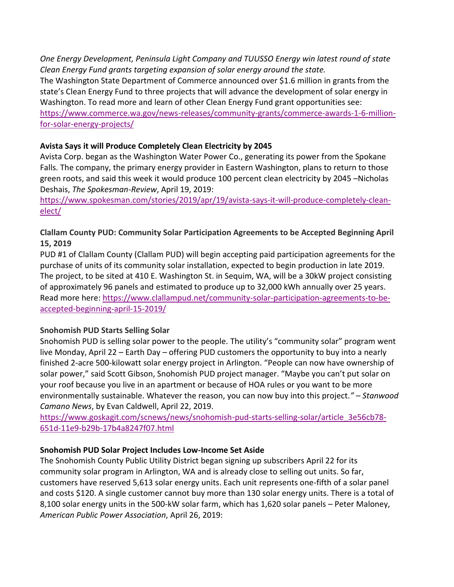*One Energy Development, Peninsula Light Company and TUUSSO Energy win latest round of state Clean Energy Fund grants targeting expansion of solar energy around the state.* 

The Washington State Department of Commerce announced over \$1.6 million in grants from the state's [Clean Energy Fund](http://www.commerce.wa.gov/CEF) to three projects that will advance the development of solar energy in Washington. To read more and learn of other Clean Energy Fund grant opportunities see: [https://www.commerce.wa.gov/news-releases/community-grants/commerce-awards-1-6-million](https://www.commerce.wa.gov/news-releases/community-grants/commerce-awards-1-6-million-for-solar-energy-projects/)[for-solar-energy-projects/](https://www.commerce.wa.gov/news-releases/community-grants/commerce-awards-1-6-million-for-solar-energy-projects/)

### **Avista Says it will Produce Completely Clean Electricity by 2045**

Avista Corp. began as the Washington Water Power Co., generating its power from the Spokane Falls. The company, the primary energy provider in Eastern Washington, plans to return to those green roots, and said this week it would produce 100 percent clean electricity by 2045 –Nicholas Deshais, *The Spokesman-Review*, April 19, 2019:

[https://www.spokesman.com/stories/2019/apr/19/avista-says-it-will-produce-completely-clean](https://www.spokesman.com/stories/2019/apr/19/avista-says-it-will-produce-completely-clean-elect/)[elect/](https://www.spokesman.com/stories/2019/apr/19/avista-says-it-will-produce-completely-clean-elect/)

# **Clallam County PUD: Community Solar Participation Agreements to be Accepted Beginning April 15, 2019**

PUD #1 of Clallam County (Clallam PUD) will begin accepting paid participation agreements for the purchase of units of its community solar installation, expected to begin production in late 2019. The project, to be sited at 410 E. Washington St. in Sequim, WA, will be a 30kW project consisting of approximately 96 panels and estimated to produce up to 32,000 kWh annually over 25 years. Read more here: [https://www.clallampud.net/community-solar-participation-agreements-to-be](https://www.clallampud.net/community-solar-participation-agreements-to-be-accepted-beginning-april-15-2019/)[accepted-beginning-april-15-2019/](https://www.clallampud.net/community-solar-participation-agreements-to-be-accepted-beginning-april-15-2019/)

# **Snohomish PUD Starts Selling Solar**

Snohomish PUD is selling solar power to the people. The utility's "community solar" program went live Monday, April 22 – Earth Day – offering PUD customers the opportunity to buy into a nearly finished 2-acre 500-kilowatt solar energy project in Arlington. "People can now have ownership of solar power," said Scott Gibson, Snohomish PUD project manager. "Maybe you can't put solar on your roof because you live in an apartment or because of HOA rules or you want to be more environmentally sustainable. Whatever the reason, you can now buy into this project*." – Stanwood Camano News*, by Evan Caldwell, April 22, 2019.

[https://www.goskagit.com/scnews/news/snohomish-pud-starts-selling-solar/article\\_3e56cb78-](https://www.goskagit.com/scnews/news/snohomish-pud-starts-selling-solar/article_3e56cb78-651d-11e9-b29b-17b4a8247f07.html) [651d-11e9-b29b-17b4a8247f07.html](https://www.goskagit.com/scnews/news/snohomish-pud-starts-selling-solar/article_3e56cb78-651d-11e9-b29b-17b4a8247f07.html)

# **Snohomish PUD Solar Project Includes Low-Income Set Aside**

The Snohomish County Public Utility District began signing up subscribers April 22 for its community solar program in Arlington, WA and is already close to selling out units. So far, customers have reserved 5,613 solar energy units. Each unit represents one-fifth of a solar panel and costs \$120. A single customer cannot buy more than 130 solar energy units. There is a total of 8,100 solar energy units in the 500-kW solar farm, which has 1,620 solar panels – Peter Maloney, *American Public Power Association*, April 26, 2019: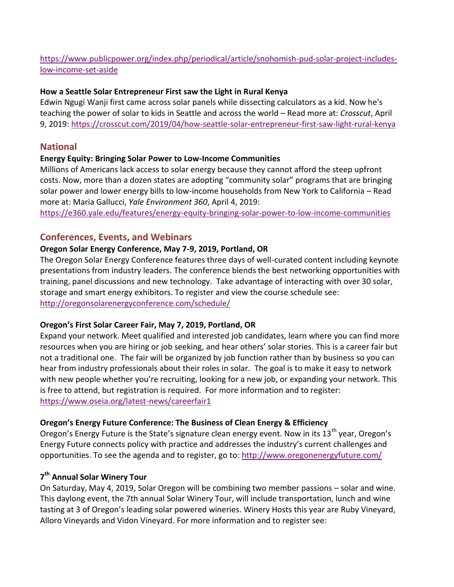# [https://www.publicpower.org/index.php/periodical/article/snohomish-pud-solar-project-includes](https://www.publicpower.org/index.php/periodical/article/snohomish-pud-solar-project-includes-low-income-set-aside)[low-income-set-aside](https://www.publicpower.org/index.php/periodical/article/snohomish-pud-solar-project-includes-low-income-set-aside)

### **How a Seattle Solar Entrepreneur First saw the Light in Rural Kenya**

Edwin Ngugi Wanji first came across solar panels while dissecting calculators as a kid. Now he's teaching the power of solar to kids in Seattle and across the world – Read more at: *Crosscut*, April 9, 2019:<https://crosscut.com/2019/04/how-seattle-solar-entrepreneur-first-saw-light-rural-kenya>

### **National**

#### **Energy Equity: Bringing Solar Power to Low-Income Communities**

Millions of Americans lack access to solar energy because they cannot afford the steep upfront costs. Now, more than a dozen states are adopting "community solar" programs that are bringing solar power and lower energy bills to low-income households from New York to California – Read more at: Maria Gallucci, *Yale Environment 360*, April 4, 2019:

<https://e360.yale.edu/features/energy-equity-bringing-solar-power-to-low-income-communities>

# **Conferences, Events, and Webinars**

### **Oregon Solar Energy Conference, May 7-9, 2019, Portland, OR**

The Oregon Solar Energy Conference features three days of well-curated content including keynote presentations from industry leaders. The conference blends the best networking opportunities with training, panel discussions and new technology. Take advantage of interacting with over 30 solar, storage and smart energy exhibitors. To register and view the course schedule see: <http://oregonsolarenergyconference.com/schedule/>

### **Oregon's First Solar Career Fair, May 7, 2019, Portland, OR**

Expand your network. Meet qualified and interested job candidates, learn where you can find more resources when you are hiring or job seeking, and hear others' solar stories. This is a career fair but not a traditional one. The fair will be organized by job function rather than by business so you can hear from industry professionals about their roles in solar. The goal is to make it easy to network with new people whether you're recruiting, looking for a new job, or expanding your network. This is free to attend, but registration is required. For more information and to register: <https://www.oseia.org/latest-news/careerfair1>

### **Oregon's Energy Future Conference: The Business of Clean Energy & Efficiency**

Oregon's Energy Future is the State's signature clean energy event. Now in its 13<sup>th</sup> year, Oregon's Energy Future connects policy with practice and addresses the industry's current challenges and opportunities. To see the agenda and to register, go to:<http://www.oregonenergyfuture.com/>

# **7 th Annual Solar Winery Tour**

On Saturday, May 4, 2019, Solar Oregon will be combining two member passions – solar and wine. This daylong event, the 7th annual Solar Winery Tour, will include transportation, lunch and wine tasting at 3 of Oregon's leading solar powered wineries. Winery Hosts this year ar[e Ruby Vineyard,](http://www.rubyvineyard.com/) [Alloro Vineyards](https://www.allorovineyard.com/) and Vidon Vineyard. For more information and to register see: